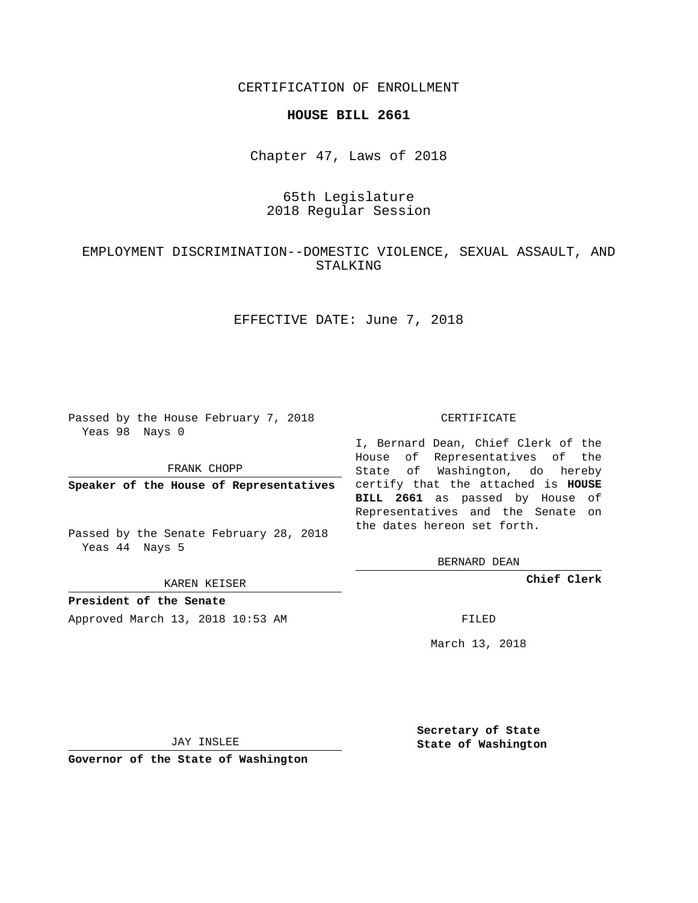CERTIFICATION OF ENROLLMENT

### **HOUSE BILL 2661**

Chapter 47, Laws of 2018

## 65th Legislature 2018 Regular Session

# EMPLOYMENT DISCRIMINATION--DOMESTIC VIOLENCE, SEXUAL ASSAULT, AND STALKING

EFFECTIVE DATE: June 7, 2018

Passed by the House February 7, 2018 Yeas 98 Nays 0

FRANK CHOPP

Passed by the Senate February 28, 2018 Yeas 44 Nays 5

KAREN KEISER

**President of the Senate**

Approved March 13, 2018 10:53 AM FILED

#### CERTIFICATE

**Speaker of the House of Representatives** certify that the attached is **HOUSE** I, Bernard Dean, Chief Clerk of the House of Representatives of the State of Washington, do hereby **BILL 2661** as passed by House of Representatives and the Senate on the dates hereon set forth.

BERNARD DEAN

**Chief Clerk**

March 13, 2018

JAY INSLEE

**Governor of the State of Washington**

**Secretary of State State of Washington**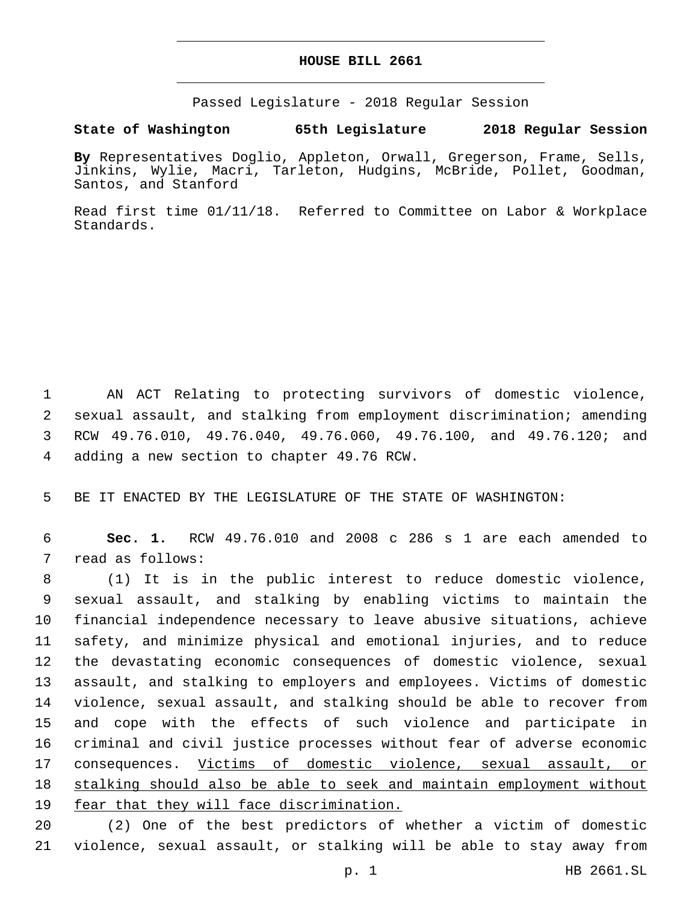## **HOUSE BILL 2661**

Passed Legislature - 2018 Regular Session

## **State of Washington 65th Legislature 2018 Regular Session**

**By** Representatives Doglio, Appleton, Orwall, Gregerson, Frame, Sells, Jinkins, Wylie, Macri, Tarleton, Hudgins, McBride, Pollet, Goodman, Santos, and Stanford

Read first time 01/11/18. Referred to Committee on Labor & Workplace Standards.

 AN ACT Relating to protecting survivors of domestic violence, sexual assault, and stalking from employment discrimination; amending RCW 49.76.010, 49.76.040, 49.76.060, 49.76.100, and 49.76.120; and 4 adding a new section to chapter 49.76 RCW.

5 BE IT ENACTED BY THE LEGISLATURE OF THE STATE OF WASHINGTON:

6 **Sec. 1.** RCW 49.76.010 and 2008 c 286 s 1 are each amended to 7 read as follows:

 (1) It is in the public interest to reduce domestic violence, sexual assault, and stalking by enabling victims to maintain the financial independence necessary to leave abusive situations, achieve safety, and minimize physical and emotional injuries, and to reduce the devastating economic consequences of domestic violence, sexual assault, and stalking to employers and employees. Victims of domestic violence, sexual assault, and stalking should be able to recover from and cope with the effects of such violence and participate in criminal and civil justice processes without fear of adverse economic 17 consequences. Victims of domestic violence, sexual assault, or stalking should also be able to seek and maintain employment without fear that they will face discrimination.

20 (2) One of the best predictors of whether a victim of domestic 21 violence, sexual assault, or stalking will be able to stay away from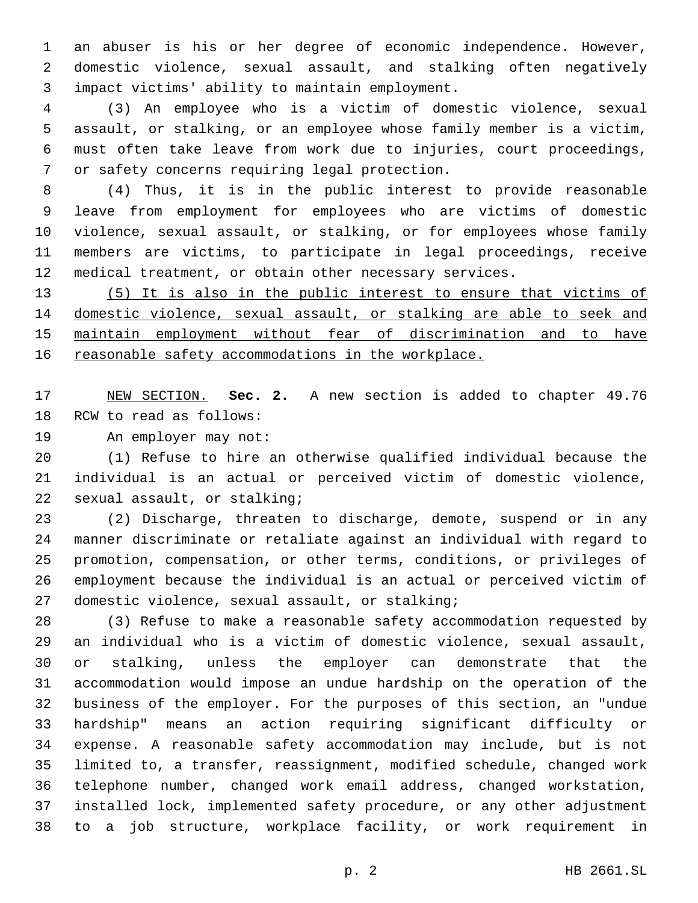an abuser is his or her degree of economic independence. However, domestic violence, sexual assault, and stalking often negatively impact victims' ability to maintain employment.3

 (3) An employee who is a victim of domestic violence, sexual assault, or stalking, or an employee whose family member is a victim, must often take leave from work due to injuries, court proceedings, 7 or safety concerns requiring legal protection.

 (4) Thus, it is in the public interest to provide reasonable leave from employment for employees who are victims of domestic violence, sexual assault, or stalking, or for employees whose family members are victims, to participate in legal proceedings, receive medical treatment, or obtain other necessary services.

 (5) It is also in the public interest to ensure that victims of domestic violence, sexual assault, or stalking are able to seek and maintain employment without fear of discrimination and to have 16 reasonable safety accommodations in the workplace.

 NEW SECTION. **Sec. 2.** A new section is added to chapter 49.76 18 RCW to read as follows:

19 An employer may not:

 (1) Refuse to hire an otherwise qualified individual because the individual is an actual or perceived victim of domestic violence, 22 sexual assault, or stalking;

 (2) Discharge, threaten to discharge, demote, suspend or in any manner discriminate or retaliate against an individual with regard to promotion, compensation, or other terms, conditions, or privileges of employment because the individual is an actual or perceived victim of 27 domestic violence, sexual assault, or stalking;

 (3) Refuse to make a reasonable safety accommodation requested by an individual who is a victim of domestic violence, sexual assault, or stalking, unless the employer can demonstrate that the accommodation would impose an undue hardship on the operation of the business of the employer. For the purposes of this section, an "undue hardship" means an action requiring significant difficulty or expense. A reasonable safety accommodation may include, but is not limited to, a transfer, reassignment, modified schedule, changed work telephone number, changed work email address, changed workstation, installed lock, implemented safety procedure, or any other adjustment to a job structure, workplace facility, or work requirement in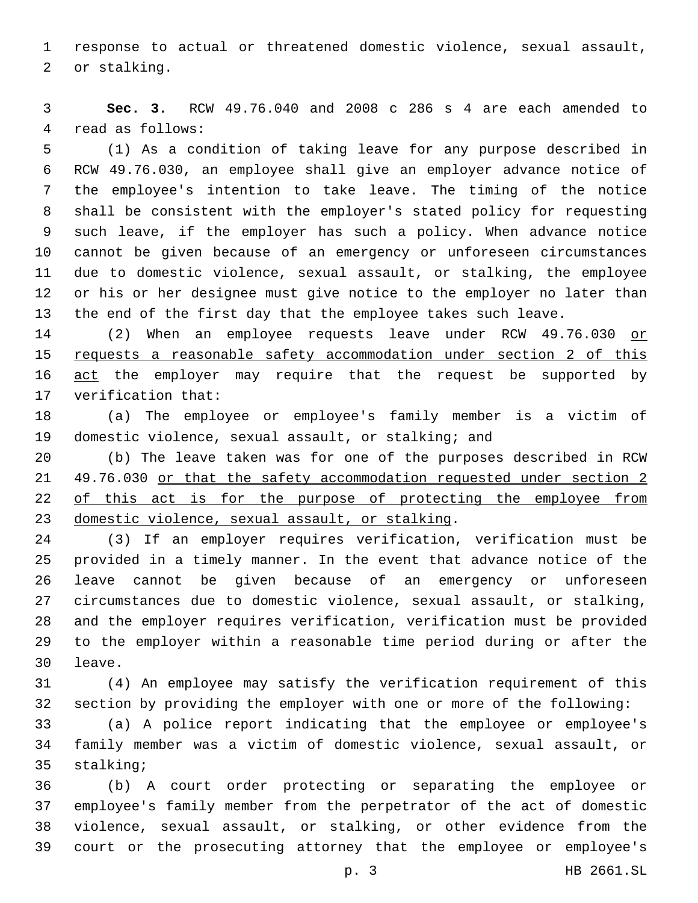response to actual or threatened domestic violence, sexual assault, 2 or stalking.

 **Sec. 3.** RCW 49.76.040 and 2008 c 286 s 4 are each amended to 4 read as follows:

 (1) As a condition of taking leave for any purpose described in RCW 49.76.030, an employee shall give an employer advance notice of the employee's intention to take leave. The timing of the notice shall be consistent with the employer's stated policy for requesting such leave, if the employer has such a policy. When advance notice cannot be given because of an emergency or unforeseen circumstances due to domestic violence, sexual assault, or stalking, the employee or his or her designee must give notice to the employer no later than the end of the first day that the employee takes such leave.

14 (2) When an employee requests leave under RCW 49.76.030 or requests a reasonable safety accommodation under section 2 of this 16 act the employer may require that the request be supported by 17 verification that:

 (a) The employee or employee's family member is a victim of domestic violence, sexual assault, or stalking; and

 (b) The leave taken was for one of the purposes described in RCW 49.76.030 or that the safety accommodation requested under section 2 22 of this act is for the purpose of protecting the employee from 23 domestic violence, sexual assault, or stalking.

 (3) If an employer requires verification, verification must be provided in a timely manner. In the event that advance notice of the leave cannot be given because of an emergency or unforeseen circumstances due to domestic violence, sexual assault, or stalking, and the employer requires verification, verification must be provided to the employer within a reasonable time period during or after the 30 leave.

 (4) An employee may satisfy the verification requirement of this section by providing the employer with one or more of the following:

 (a) A police report indicating that the employee or employee's family member was a victim of domestic violence, sexual assault, or 35 stalking;

 (b) A court order protecting or separating the employee or employee's family member from the perpetrator of the act of domestic violence, sexual assault, or stalking, or other evidence from the court or the prosecuting attorney that the employee or employee's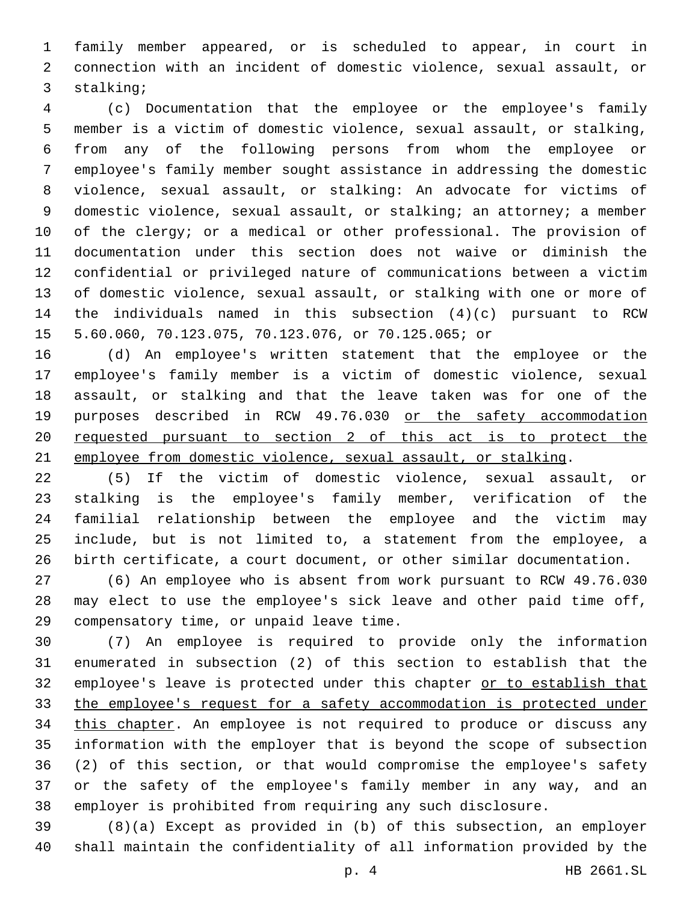family member appeared, or is scheduled to appear, in court in connection with an incident of domestic violence, sexual assault, or 3 stalking;

 (c) Documentation that the employee or the employee's family member is a victim of domestic violence, sexual assault, or stalking, from any of the following persons from whom the employee or employee's family member sought assistance in addressing the domestic violence, sexual assault, or stalking: An advocate for victims of 9 domestic violence, sexual assault, or stalking; an attorney; a member of the clergy; or a medical or other professional. The provision of documentation under this section does not waive or diminish the confidential or privileged nature of communications between a victim of domestic violence, sexual assault, or stalking with one or more of the individuals named in this subsection (4)(c) pursuant to RCW 5.60.060, 70.123.075, 70.123.076, or 70.125.065; or

 (d) An employee's written statement that the employee or the employee's family member is a victim of domestic violence, sexual assault, or stalking and that the leave taken was for one of the purposes described in RCW 49.76.030 or the safety accommodation requested pursuant to section 2 of this act is to protect the employee from domestic violence, sexual assault, or stalking.

 (5) If the victim of domestic violence, sexual assault, or stalking is the employee's family member, verification of the familial relationship between the employee and the victim may include, but is not limited to, a statement from the employee, a birth certificate, a court document, or other similar documentation.

 (6) An employee who is absent from work pursuant to RCW 49.76.030 may elect to use the employee's sick leave and other paid time off, 29 compensatory time, or unpaid leave time.

 (7) An employee is required to provide only the information enumerated in subsection (2) of this section to establish that the 32 employee's leave is protected under this chapter or to establish that the employee's request for a safety accommodation is protected under 34 this chapter. An employee is not required to produce or discuss any information with the employer that is beyond the scope of subsection (2) of this section, or that would compromise the employee's safety or the safety of the employee's family member in any way, and an employer is prohibited from requiring any such disclosure.

 (8)(a) Except as provided in (b) of this subsection, an employer shall maintain the confidentiality of all information provided by the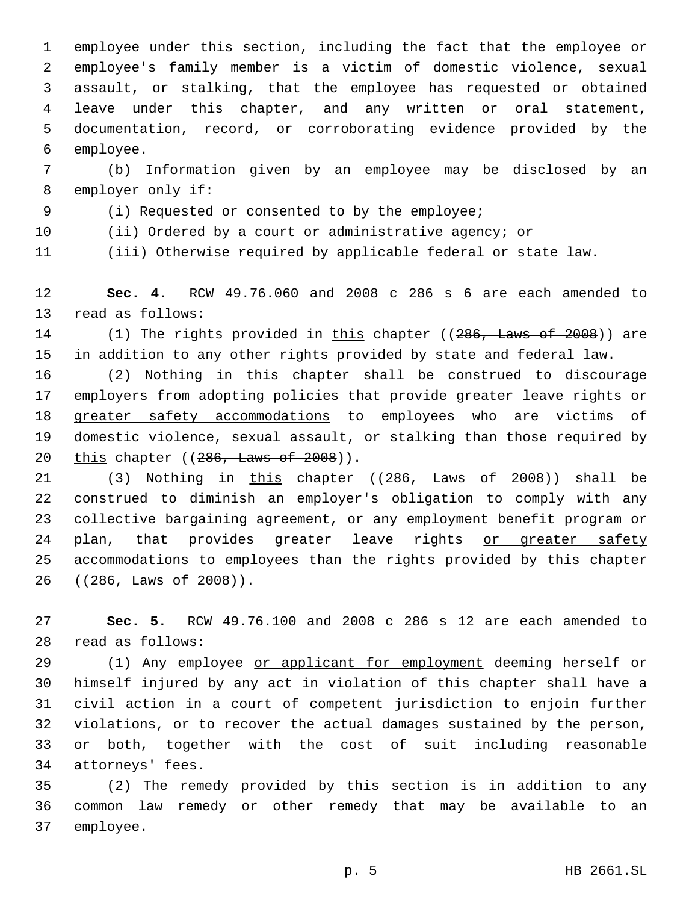employee under this section, including the fact that the employee or employee's family member is a victim of domestic violence, sexual assault, or stalking, that the employee has requested or obtained leave under this chapter, and any written or oral statement, documentation, record, or corroborating evidence provided by the 6 employee.

7 (b) Information given by an employee may be disclosed by an 8 employer only if:

(i) Requested or consented to by the employee;9

10 (ii) Ordered by a court or administrative agency; or

11 (iii) Otherwise required by applicable federal or state law.

12 **Sec. 4.** RCW 49.76.060 and 2008 c 286 s 6 are each amended to 13 read as follows:

14 (1) The rights provided in this chapter ((286, Laws of 2008)) are 15 in addition to any other rights provided by state and federal law.

16 (2) Nothing in this chapter shall be construed to discourage 17 employers from adopting policies that provide greater leave rights or 18 greater safety accommodations to employees who are victims of 19 domestic violence, sexual assault, or stalking than those required by 20 this chapter ((286, Laws of 2008)).

21 (3) Nothing in this chapter ((286, Laws of 2008)) shall be 22 construed to diminish an employer's obligation to comply with any 23 collective bargaining agreement, or any employment benefit program or 24 plan, that provides greater leave rights or greater safety 25 accommodations to employees than the rights provided by this chapter 26 ((286, Laws of 2008)).

27 **Sec. 5.** RCW 49.76.100 and 2008 c 286 s 12 are each amended to read as follows:28

29 (1) Any employee or applicant for employment deeming herself or himself injured by any act in violation of this chapter shall have a civil action in a court of competent jurisdiction to enjoin further violations, or to recover the actual damages sustained by the person, or both, together with the cost of suit including reasonable 34 attorneys' fees.

35 (2) The remedy provided by this section is in addition to any 36 common law remedy or other remedy that may be available to an 37 employee.